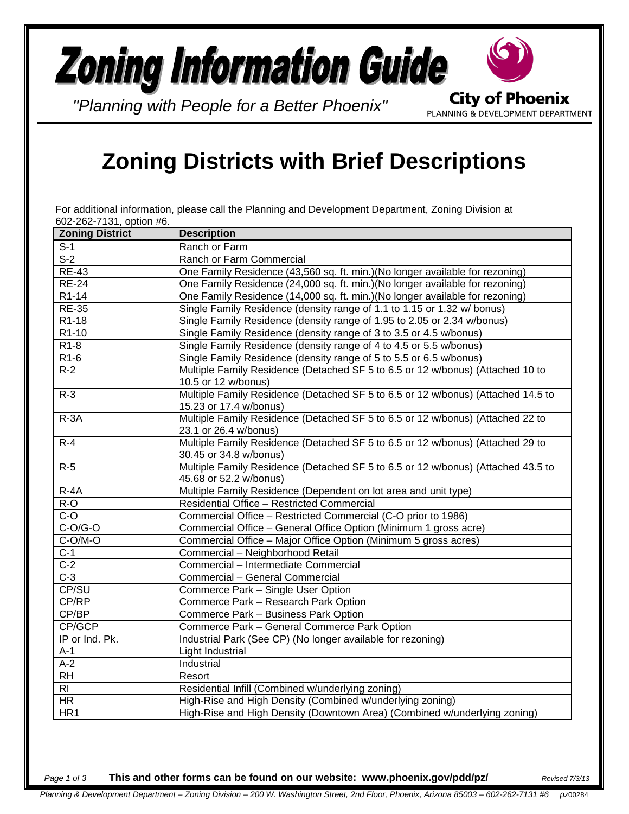## **Zoning Information Guide City of Phoenix**

*"Planning with People for a Better Phoenix"*

PLANNING & DEVELOPMENT DEPARTMENT

## **Zoning Districts with Brief Descriptions**

For additional information, please call the Planning and Development Department, Zoning Division at 602-262-7131, option #6.

| <b>Zoning District</b> | <b>Description</b>                                                               |
|------------------------|----------------------------------------------------------------------------------|
| $S-1$                  | Ranch or Farm                                                                    |
| $S-2$                  | Ranch or Farm Commercial                                                         |
| $RE-43$                | One Family Residence (43,560 sq. ft. min.) (No longer available for rezoning)    |
| <b>RE-24</b>           | One Family Residence (24,000 sq. ft. min.) (No longer available for rezoning)    |
| $R1-14$                | One Family Residence (14,000 sq. ft. min.) (No longer available for rezoning)    |
| <b>RE-35</b>           | Single Family Residence (density range of 1.1 to 1.15 or 1.32 w/ bonus)          |
| R1-18                  | Single Family Residence (density range of 1.95 to 2.05 or 2.34 w/bonus)          |
| $R1-10$                | Single Family Residence (density range of 3 to 3.5 or 4.5 w/bonus)               |
| $R1-8$                 | Single Family Residence (density range of 4 to 4.5 or 5.5 w/bonus)               |
| R <sub>1-6</sub>       | Single Family Residence (density range of 5 to 5.5 or 6.5 w/bonus)               |
| $R-2$                  | Multiple Family Residence (Detached SF 5 to 6.5 or 12 w/bonus) (Attached 10 to   |
|                        | 10.5 or 12 w/bonus)                                                              |
| $R-3$                  | Multiple Family Residence (Detached SF 5 to 6.5 or 12 w/bonus) (Attached 14.5 to |
|                        | 15.23 or 17.4 w/bonus)                                                           |
| $R - 3A$               | Multiple Family Residence (Detached SF 5 to 6.5 or 12 w/bonus) (Attached 22 to   |
|                        | 23.1 or 26.4 w/bonus)                                                            |
| $R-4$                  | Multiple Family Residence (Detached SF 5 to 6.5 or 12 w/bonus) (Attached 29 to   |
|                        | 30.45 or 34.8 w/bonus)                                                           |
| $R-5$                  | Multiple Family Residence (Detached SF 5 to 6.5 or 12 w/bonus) (Attached 43.5 to |
|                        | 45.68 or 52.2 w/bonus)                                                           |
| $R-4A$                 | Multiple Family Residence (Dependent on lot area and unit type)                  |
| $R-O$                  | Residential Office - Restricted Commercial                                       |
| $\overline{C-O}$       | Commercial Office - Restricted Commercial (C-O prior to 1986)                    |
| $C-O/G-O$              | Commercial Office - General Office Option (Minimum 1 gross acre)                 |
| C-O/M-O                | Commercial Office - Major Office Option (Minimum 5 gross acres)                  |
| $\overline{C}$ -1      | Commercial - Neighborhood Retail                                                 |
| $\overline{C-2}$       | Commercial - Intermediate Commercial                                             |
| $C-3$                  | Commercial - General Commercial                                                  |
| CP/SU                  | Commerce Park - Single User Option                                               |
| CP/RP                  | Commerce Park - Research Park Option                                             |
| CP/BP                  | Commerce Park - Business Park Option                                             |
| CP/GCP                 | Commerce Park - General Commerce Park Option                                     |
| IP or Ind. Pk.         | Industrial Park (See CP) (No longer available for rezoning)                      |
| $A-1$                  | Light Industrial                                                                 |
| $A-2$                  | Industrial                                                                       |
| RH                     | Resort                                                                           |
| $\overline{R}$         | Residential Infill (Combined w/underlying zoning)                                |
| <b>HR</b>              | High-Rise and High Density (Combined w/underlying zoning)                        |
| HR1                    | High-Rise and High Density (Downtown Area) (Combined w/underlying zoning)        |

*Page 1 of 3* **This and other forms can be found on our website: www.phoenix.gov/pdd/pz/** *Revised 7/3/13*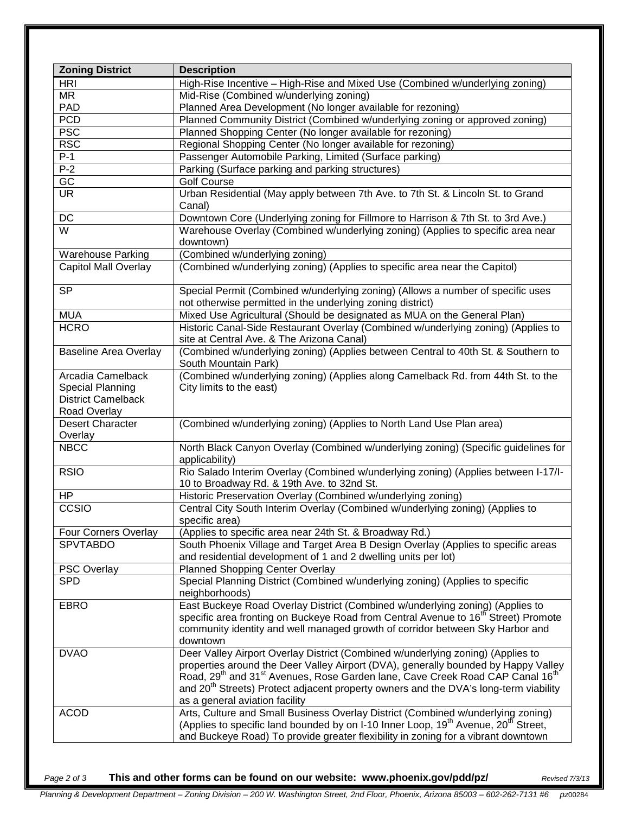| <b>Zoning District</b>       | <b>Description</b>                                                                                                               |
|------------------------------|----------------------------------------------------------------------------------------------------------------------------------|
| <b>HRI</b>                   | High-Rise Incentive - High-Rise and Mixed Use (Combined w/underlying zoning)                                                     |
| <b>MR</b>                    | Mid-Rise (Combined w/underlying zoning)                                                                                          |
| PAD                          | Planned Area Development (No longer available for rezoning)                                                                      |
| <b>PCD</b>                   | Planned Community District (Combined w/underlying zoning or approved zoning)                                                     |
| <b>PSC</b>                   | Planned Shopping Center (No longer available for rezoning)                                                                       |
| <b>RSC</b>                   | Regional Shopping Center (No longer available for rezoning)                                                                      |
| $P-1$                        | Passenger Automobile Parking, Limited (Surface parking)                                                                          |
| $P-2$                        | Parking (Surface parking and parking structures)                                                                                 |
| $\overline{GC}$              | <b>Golf Course</b>                                                                                                               |
| <b>UR</b>                    | Urban Residential (May apply between 7th Ave. to 7th St. & Lincoln St. to Grand<br>Canal)                                        |
| DC                           | Downtown Core (Underlying zoning for Fillmore to Harrison & 7th St. to 3rd Ave.)                                                 |
| $\overline{\mathsf{W}}$      | Warehouse Overlay (Combined w/underlying zoning) (Applies to specific area near                                                  |
|                              | downtown)                                                                                                                        |
| <b>Warehouse Parking</b>     | (Combined w/underlying zoning)                                                                                                   |
| <b>Capitol Mall Overlay</b>  | (Combined w/underlying zoning) (Applies to specific area near the Capitol)                                                       |
|                              |                                                                                                                                  |
| <b>SP</b>                    | Special Permit (Combined w/underlying zoning) (Allows a number of specific uses                                                  |
|                              | not otherwise permitted in the underlying zoning district)                                                                       |
| <b>MUA</b>                   | Mixed Use Agricultural (Should be designated as MUA on the General Plan)                                                         |
| <b>HCRO</b>                  | Historic Canal-Side Restaurant Overlay (Combined w/underlying zoning) (Applies to                                                |
|                              | site at Central Ave. & The Arizona Canal)                                                                                        |
| <b>Baseline Area Overlay</b> | (Combined w/underlying zoning) (Applies between Central to 40th St. & Southern to<br>South Mountain Park)                        |
| Arcadia Camelback            | (Combined w/underlying zoning) (Applies along Camelback Rd. from 44th St. to the                                                 |
| Special Planning             | City limits to the east)                                                                                                         |
| <b>District Camelback</b>    |                                                                                                                                  |
| Road Overlay                 |                                                                                                                                  |
| <b>Desert Character</b>      | (Combined w/underlying zoning) (Applies to North Land Use Plan area)                                                             |
| Overlay                      |                                                                                                                                  |
| <b>NBCC</b>                  | North Black Canyon Overlay (Combined w/underlying zoning) (Specific guidelines for<br>applicability)                             |
| <b>RSIO</b>                  | Rio Salado Interim Overlay (Combined w/underlying zoning) (Applies between I-17/I-<br>10 to Broadway Rd. & 19th Ave. to 32nd St. |
| <b>HP</b>                    | Historic Preservation Overlay (Combined w/underlying zoning)                                                                     |
| CCSIO                        | Central City South Interim Overlay (Combined w/underlying zoning) (Applies to<br>specific area)                                  |
| Four Corners Overlay         | (Applies to specific area near 24th St. & Broadway Rd.)                                                                          |
| <b>SPVTABDO</b>              | South Phoenix Village and Target Area B Design Overlay (Applies to specific areas                                                |
|                              | and residential development of 1 and 2 dwelling units per lot)                                                                   |
| <b>PSC Overlay</b>           | <b>Planned Shopping Center Overlay</b>                                                                                           |
| <b>SPD</b>                   | Special Planning District (Combined w/underlying zoning) (Applies to specific                                                    |
|                              | neighborhoods)                                                                                                                   |
| <b>EBRO</b>                  | East Buckeye Road Overlay District (Combined w/underlying zoning) (Applies to                                                    |
|                              | specific area fronting on Buckeye Road from Central Avenue to 16 <sup>th</sup> Street) Promote                                   |
|                              | community identity and well managed growth of corridor between Sky Harbor and                                                    |
|                              | downtown                                                                                                                         |
| <b>DVAO</b>                  | Deer Valley Airport Overlay District (Combined w/underlying zoning) (Applies to                                                  |
|                              | properties around the Deer Valley Airport (DVA), generally bounded by Happy Valley                                               |
|                              | Road, 29 <sup>th</sup> and 31 <sup>st</sup> Avenues, Rose Garden lane, Cave Creek Road CAP Canal 16 <sup>th</sup>                |
|                              | and 20 <sup>th</sup> Streets) Protect adjacent property owners and the DVA's long-term viability                                 |
|                              | as a general aviation facility                                                                                                   |
| <b>ACOD</b>                  | Arts, Culture and Small Business Overlay District (Combined w/underlying zoning)                                                 |
|                              | (Applies to specific land bounded by on I-10 Inner Loop, 19 <sup>th</sup> Avenue, 20 <sup>th</sup> Street,                       |
|                              | and Buckeye Road) To provide greater flexibility in zoning for a vibrant downtown                                                |

*Page 2 of 3* **This and other forms can be found on our website: www.phoenix.gov/pdd/pz/** *Revised 7/3/13*